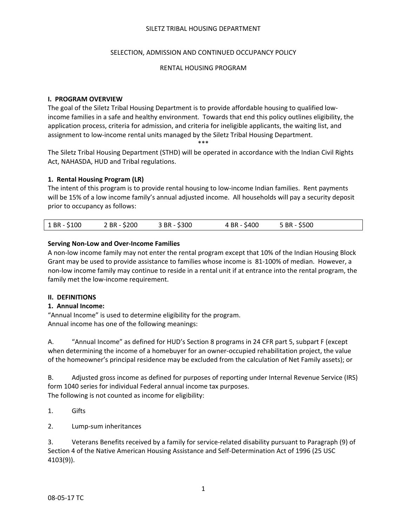#### SELECTION, ADMISSION AND CONTINUED OCCUPANCY POLICY

#### RENTAL HOUSING PROGRAM

#### **I. PROGRAM OVERVIEW**

The goal of the Siletz Tribal Housing Department is to provide affordable housing to qualified low‐ income families in a safe and healthy environment. Towards that end this policy outlines eligibility, the application process, criteria for admission, and criteria for ineligible applicants, the waiting list, and assignment to low‐income rental units managed by the Siletz Tribal Housing Department. \*\*\*

The Siletz Tribal Housing Department (STHD) will be operated in accordance with the Indian Civil Rights Act, NAHASDA, HUD and Tribal regulations.

#### **1. Rental Housing Program (LR)**

The intent of this program is to provide rental housing to low-income Indian families. Rent payments will be 15% of a low income family's annual adjusted income. All households will pay a security deposit prior to occupancy as follows:

|  | 1 BR - \$100 | 2 BR - \$200 | 3 BR - \$300 | 4 BR - \$400 | 5 BR - \$500 |  |
|--|--------------|--------------|--------------|--------------|--------------|--|
|--|--------------|--------------|--------------|--------------|--------------|--|

#### **Serving Non‐Low and Over‐Income Families**

A non‐low income family may not enter the rental program except that 10% of the Indian Housing Block Grant may be used to provide assistance to families whose income is 81‐100% of median. However, a non‐low income family may continue to reside in a rental unit if at entrance into the rental program, the family met the low-income requirement.

#### **II. DEFINITIONS**

#### **1. Annual Income:**

"Annual Income" is used to determine eligibility for the program. Annual income has one of the following meanings:

A. "Annual Income" as defined for HUD's Section 8 programs in 24 CFR part 5, subpart F (except when determining the income of a homebuyer for an owner-occupied rehabilitation project, the value of the homeowner's principal residence may be excluded from the calculation of Net Family assets); or

B. Adjusted gross income as defined for purposes of reporting under Internal Revenue Service (IRS) form 1040 series for individual Federal annual income tax purposes. The following is not counted as income for eligibility:

- 1. Gifts
- 2. Lump‐sum inheritances

3. Veterans Benefits received by a family for service‐related disability pursuant to Paragraph (9) of Section 4 of the Native American Housing Assistance and Self‐Determination Act of 1996 (25 USC 4103(9)).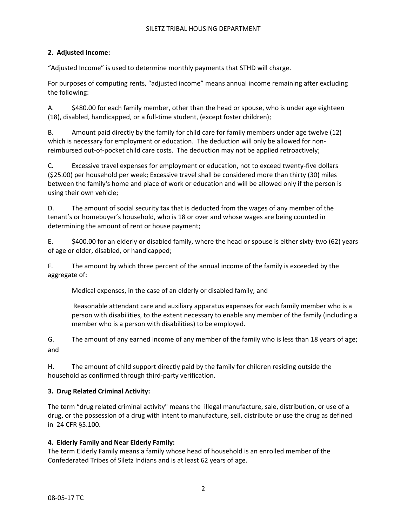## **2. Adjusted Income:**

"Adjusted Income" is used to determine monthly payments that STHD will charge.

For purposes of computing rents, "adjusted income" means annual income remaining after excluding the following:

A. \$480.00 for each family member, other than the head or spouse, who is under age eighteen (18), disabled, handicapped, or a full‐time student, (except foster children);

B. Amount paid directly by the family for child care for family members under age twelve (12) which is necessary for employment or education. The deduction will only be allowed for nonreimbursed out‐of‐pocket child care costs. The deduction may not be applied retroactively;

C. Excessive travel expenses for employment or education, not to exceed twenty‐five dollars (\$25.00) per household per week; Excessive travel shall be considered more than thirty (30) miles between the family's home and place of work or education and will be allowed only if the person is using their own vehicle;

D. The amount of social security tax that is deducted from the wages of any member of the tenant's or homebuyer's household, who is 18 or over and whose wages are being counted in determining the amount of rent or house payment;

E. \$400.00 for an elderly or disabled family, where the head or spouse is either sixty‐two (62) years of age or older, disabled, or handicapped;

F. The amount by which three percent of the annual income of the family is exceeded by the aggregate of:

Medical expenses, in the case of an elderly or disabled family; and

Reasonable attendant care and auxiliary apparatus expenses for each family member who is a person with disabilities, to the extent necessary to enable any member of the family (including a member who is a person with disabilities) to be employed.

G. The amount of any earned income of any member of the family who is less than 18 years of age; and

H. The amount of child support directly paid by the family for children residing outside the household as confirmed through third‐party verification.

# **3. Drug Related Criminal Activity:**

The term "drug related criminal activity" means the illegal manufacture, sale, distribution, or use of a drug, or the possession of a drug with intent to manufacture, sell, distribute or use the drug as defined in 24 CFR §5.100.

#### **4. Elderly Family and Near Elderly Family:**

The term Elderly Family means a family whose head of household is an enrolled member of the Confederated Tribes of Siletz Indians and is at least 62 years of age.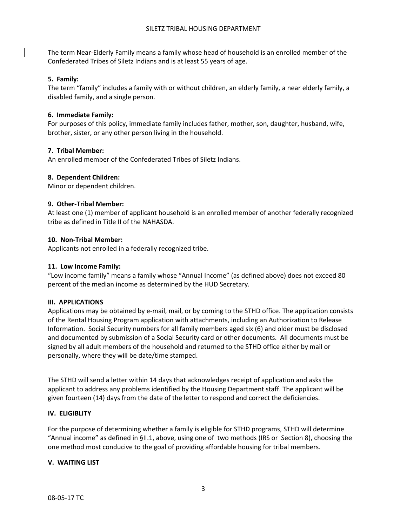The term Near‐Elderly Family means a family whose head of household is an enrolled member of the Confederated Tribes of Siletz Indians and is at least 55 years of age.

### **5. Family:**

The term "family" includes a family with or without children, an elderly family, a near elderly family, a disabled family, and a single person.

## **6. Immediate Family:**

For purposes of this policy, immediate family includes father, mother, son, daughter, husband, wife, brother, sister, or any other person living in the household.

## **7. Tribal Member:**

An enrolled member of the Confederated Tribes of Siletz Indians.

## **8. Dependent Children:**

Minor or dependent children.

#### **9. Other‐Tribal Member:**

At least one (1) member of applicant household is an enrolled member of another federally recognized tribe as defined in Title II of the NAHASDA.

#### **10. Non‐Tribal Member:**

Applicants not enrolled in a federally recognized tribe.

### **11. Low Income Family:**

"Low income family" means a family whose "Annual Income" (as defined above) does not exceed 80 percent of the median income as determined by the HUD Secretary.

#### **III. APPLICATIONS**

Applications may be obtained by e‐mail, mail, or by coming to the STHD office. The application consists of the Rental Housing Program application with attachments, including an Authorization to Release Information. Social Security numbers for all family members aged six (6) and older must be disclosed and documented by submission of a Social Security card or other documents. All documents must be signed by all adult members of the household and returned to the STHD office either by mail or personally, where they will be date/time stamped.

The STHD will send a letter within 14 days that acknowledges receipt of application and asks the applicant to address any problems identified by the Housing Department staff. The applicant will be given fourteen (14) days from the date of the letter to respond and correct the deficiencies.

#### **IV. ELIGIBLITY**

For the purpose of determining whether a family is eligible for STHD programs, STHD will determine "Annual income" as defined in §II.1, above, using one of two methods (IRS or Section 8), choosing the one method most conducive to the goal of providing affordable housing for tribal members.

#### **V. WAITING LIST**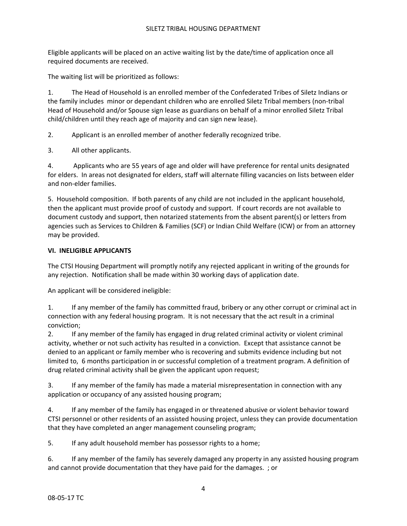Eligible applicants will be placed on an active waiting list by the date/time of application once all required documents are received.

The waiting list will be prioritized as follows:

1. The Head of Household is an enrolled member of the Confederated Tribes of Siletz Indians or the family includes minor or dependant children who are enrolled Siletz Tribal members (non‐tribal Head of Household and/or Spouse sign lease as guardians on behalf of a minor enrolled Siletz Tribal child/children until they reach age of majority and can sign new lease).

2. Applicant is an enrolled member of another federally recognized tribe.

3. All other applicants.

4. Applicants who are 55 years of age and older will have preference for rental units designated for elders. In areas not designated for elders, staff will alternate filling vacancies on lists between elder and non‐elder families.

5. Household composition. If both parents of any child are not included in the applicant household, then the applicant must provide proof of custody and support. If court records are not available to document custody and support, then notarized statements from the absent parent(s) or letters from agencies such as Services to Children & Families (SCF) or Indian Child Welfare (ICW) or from an attorney may be provided.

## **VI. INELIGIBLE APPLICANTS**

The CTSI Housing Department will promptly notify any rejected applicant in writing of the grounds for any rejection. Notification shall be made within 30 working days of application date.

An applicant will be considered ineligible:

1. If any member of the family has committed fraud, bribery or any other corrupt or criminal act in connection with any federal housing program. It is not necessary that the act result in a criminal conviction;

2. If any member of the family has engaged in drug related criminal activity or violent criminal activity, whether or not such activity has resulted in a conviction. Except that assistance cannot be denied to an applicant or family member who is recovering and submits evidence including but not limited to, 6 months participation in or successful completion of a treatment program. A definition of drug related criminal activity shall be given the applicant upon request;

3. If any member of the family has made a material misrepresentation in connection with any application or occupancy of any assisted housing program;

4. If any member of the family has engaged in or threatened abusive or violent behavior toward CTSI personnel or other residents of an assisted housing project, unless they can provide documentation that they have completed an anger management counseling program;

5. If any adult household member has possessor rights to a home;

6. If any member of the family has severely damaged any property in any assisted housing program and cannot provide documentation that they have paid for the damages. ; or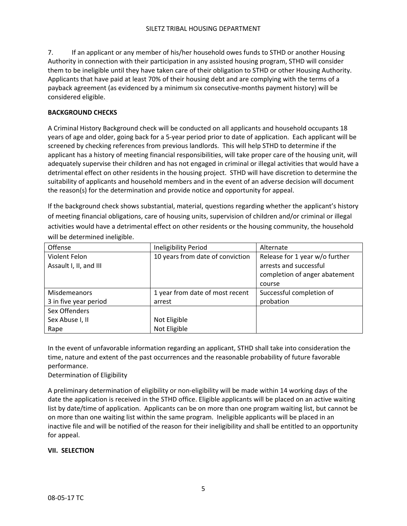7. If an applicant or any member of his/her household owes funds to STHD or another Housing Authority in connection with their participation in any assisted housing program, STHD will consider them to be ineligible until they have taken care of their obligation to STHD or other Housing Authority. Applicants that have paid at least 70% of their housing debt and are complying with the terms of a payback agreement (as evidenced by a minimum six consecutive‐months payment history) will be considered eligible.

## **BACKGROUND CHECKS**

A Criminal History Background check will be conducted on all applicants and household occupants 18 years of age and older, going back for a 5‐year period prior to date of application. Each applicant will be screened by checking references from previous landlords. This will help STHD to determine if the applicant has a history of meeting financial responsibilities, will take proper care of the housing unit, will adequately supervise their children and has not engaged in criminal or illegal activities that would have a detrimental effect on other residents in the housing project. STHD will have discretion to determine the suitability of applicants and household members and in the event of an adverse decision will document the reason(s) for the determination and provide notice and opportunity for appeal.

If the background check shows substantial, material, questions regarding whether the applicant's history of meeting financial obligations, care of housing units, supervision of children and/or criminal or illegal activities would have a detrimental effect on other residents or the housing community, the household will be determined ineligible.

| Offense                | Ineligibility Period             | Alternate                      |
|------------------------|----------------------------------|--------------------------------|
| Violent Felon          | 10 years from date of conviction | Release for 1 year w/o further |
| Assault I, II, and III |                                  | arrests and successful         |
|                        |                                  | completion of anger abatement  |
|                        |                                  | course                         |
| <b>Misdemeanors</b>    | 1 year from date of most recent  | Successful completion of       |
| 3 in five year period  | arrest                           | probation                      |
| Sex Offenders          |                                  |                                |
| Sex Abuse I, II        | Not Eligible                     |                                |
| Rape                   | Not Eligible                     |                                |

In the event of unfavorable information regarding an applicant, STHD shall take into consideration the time, nature and extent of the past occurrences and the reasonable probability of future favorable performance.

# Determination of Eligibility

A preliminary determination of eligibility or non‐eligibility will be made within 14 working days of the date the application is received in the STHD office. Eligible applicants will be placed on an active waiting list by date/time of application. Applicants can be on more than one program waiting list, but cannot be on more than one waiting list within the same program. Ineligible applicants will be placed in an inactive file and will be notified of the reason for their ineligibility and shall be entitled to an opportunity for appeal.

# **VII. SELECTION**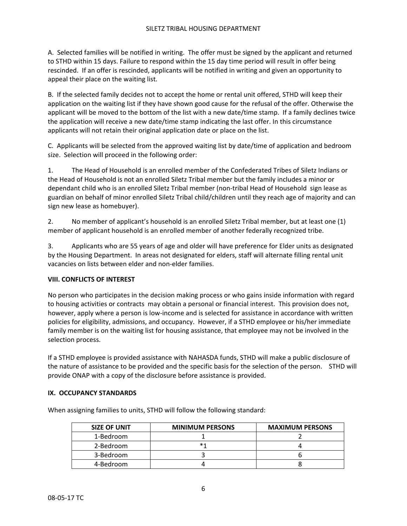A. Selected families will be notified in writing. The offer must be signed by the applicant and returned to STHD within 15 days. Failure to respond within the 15 day time period will result in offer being rescinded. If an offer is rescinded, applicants will be notified in writing and given an opportunity to appeal their place on the waiting list.

B. If the selected family decides not to accept the home or rental unit offered, STHD will keep their application on the waiting list if they have shown good cause for the refusal of the offer. Otherwise the applicant will be moved to the bottom of the list with a new date/time stamp. If a family declines twice the application will receive a new date/time stamp indicating the last offer. In this circumstance applicants will not retain their original application date or place on the list.

C. Applicants will be selected from the approved waiting list by date/time of application and bedroom size. Selection will proceed in the following order:

1. The Head of Household is an enrolled member of the Confederated Tribes of Siletz Indians or the Head of Household is not an enrolled Siletz Tribal member but the family includes a minor or dependant child who is an enrolled Siletz Tribal member (non‐tribal Head of Household sign lease as guardian on behalf of minor enrolled Siletz Tribal child/children until they reach age of majority and can sign new lease as homebuyer).

2. No member of applicant's household is an enrolled Siletz Tribal member, but at least one (1) member of applicant household is an enrolled member of another federally recognized tribe.

3. Applicants who are 55 years of age and older will have preference for Elder units as designated by the Housing Department. In areas not designated for elders, staff will alternate filling rental unit vacancies on lists between elder and non‐elder families.

# **VIII. CONFLICTS OF INTEREST**

No person who participates in the decision making process or who gains inside information with regard to housing activities or contracts may obtain a personal or financial interest. This provision does not, however, apply where a person is low-income and is selected for assistance in accordance with written policies for eligibility, admissions, and occupancy. However, if a STHD employee or his/her immediate family member is on the waiting list for housing assistance, that employee may not be involved in the selection process.

If a STHD employee is provided assistance with NAHASDA funds, STHD will make a public disclosure of the nature of assistance to be provided and the specific basis for the selection of the person. STHD will provide ONAP with a copy of the disclosure before assistance is provided.

#### **IX. OCCUPANCY STANDARDS**

When assigning families to units, STHD will follow the following standard:

| <b>SIZE OF UNIT</b> | <b>MINIMUM PERSONS</b> | <b>MAXIMUM PERSONS</b> |
|---------------------|------------------------|------------------------|
| 1-Bedroom           |                        |                        |
| 2-Bedroom           |                        |                        |
| 3-Bedroom           |                        |                        |
| 4-Bedroom           |                        |                        |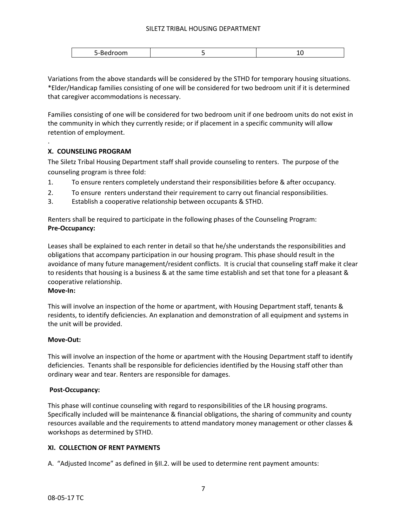| . . |
|-----|
|-----|

Variations from the above standards will be considered by the STHD for temporary housing situations. \*Elder/Handicap families consisting of one will be considered for two bedroom unit if it is determined that caregiver accommodations is necessary.

Families consisting of one will be considered for two bedroom unit if one bedroom units do not exist in the community in which they currently reside; or if placement in a specific community will allow retention of employment.

## **X. COUNSELING PROGRAM**

The Siletz Tribal Housing Department staff shall provide counseling to renters. The purpose of the counseling program is three fold:

- 1. To ensure renters completely understand their responsibilities before & after occupancy.
- 2. To ensure renters understand their requirement to carry out financial responsibilities.
- 3. Establish a cooperative relationship between occupants & STHD.

Renters shall be required to participate in the following phases of the Counseling Program: **Pre‐Occupancy:** 

Leases shall be explained to each renter in detail so that he/she understands the responsibilities and obligations that accompany participation in our housing program. This phase should result in the avoidance of many future management/resident conflicts. It is crucial that counseling staff make it clear to residents that housing is a business & at the same time establish and set that tone for a pleasant & cooperative relationship.

#### **Move‐In:**

.

This will involve an inspection of the home or apartment, with Housing Department staff, tenants & residents, to identify deficiencies. An explanation and demonstration of all equipment and systems in the unit will be provided.

#### **Move‐Out:**

This will involve an inspection of the home or apartment with the Housing Department staff to identify deficiencies. Tenants shall be responsible for deficiencies identified by the Housing staff other than ordinary wear and tear. Renters are responsible for damages.

#### **Post‐Occupancy:**

This phase will continue counseling with regard to responsibilities of the LR housing programs. Specifically included will be maintenance & financial obligations, the sharing of community and county resources available and the requirements to attend mandatory money management or other classes & workshops as determined by STHD.

#### **XI. COLLECTION OF RENT PAYMENTS**

A. "Adjusted Income" as defined in §II.2. will be used to determine rent payment amounts: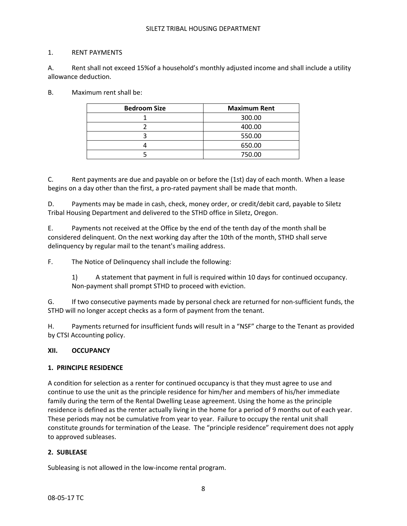#### 1. RENT PAYMENTS

A. Rent shall not exceed 15%of a household's monthly adjusted income and shall include a utility allowance deduction.

B. Maximum rent shall be:

| <b>Bedroom Size</b> | <b>Maximum Rent</b> |
|---------------------|---------------------|
|                     | 300.00              |
|                     | 400.00              |
|                     | 550.00              |
|                     | 650.00              |
|                     | 750.00              |

C. Rent payments are due and payable on or before the (1st) day of each month. When a lease begins on a day other than the first, a pro-rated payment shall be made that month.

D. Payments may be made in cash, check, money order, or credit/debit card, payable to Siletz Tribal Housing Department and delivered to the STHD office in Siletz, Oregon.

E. Payments not received at the Office by the end of the tenth day of the month shall be considered delinquent. On the next working day after the 10th of the month, STHD shall serve delinquency by regular mail to the tenant's mailing address.

F. The Notice of Delinquency shall include the following:

1) A statement that payment in full is required within 10 days for continued occupancy. Non‐payment shall prompt STHD to proceed with eviction.

G. If two consecutive payments made by personal check are returned for non‐sufficient funds, the STHD will no longer accept checks as a form of payment from the tenant.

H. Payments returned for insufficient funds will result in a "NSF" charge to the Tenant as provided by CTSI Accounting policy.

#### **XII. OCCUPANCY**

#### **1. PRINCIPLE RESIDENCE**

A condition for selection as a renter for continued occupancy is that they must agree to use and continue to use the unit as the principle residence for him/her and members of his/her immediate family during the term of the Rental Dwelling Lease agreement. Using the home as the principle residence is defined as the renter actually living in the home for a period of 9 months out of each year. These periods may not be cumulative from year to year. Failure to occupy the rental unit shall constitute grounds for termination of the Lease. The "principle residence" requirement does not apply to approved subleases.

#### **2. SUBLEASE**

Subleasing is not allowed in the low‐income rental program.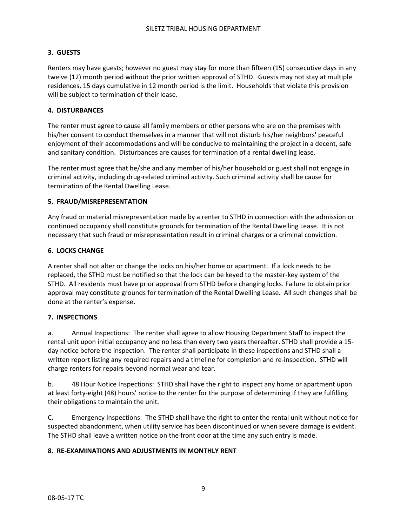# **3. GUESTS**

Renters may have guests; however no guest may stay for more than fifteen (15) consecutive days in any twelve (12) month period without the prior written approval of STHD. Guests may not stay at multiple residences, 15 days cumulative in 12 month period is the limit. Households that violate this provision will be subject to termination of their lease.

## **4. DISTURBANCES**

The renter must agree to cause all family members or other persons who are on the premises with his/her consent to conduct themselves in a manner that will not disturb his/her neighbors' peaceful enjoyment of their accommodations and will be conducive to maintaining the project in a decent, safe and sanitary condition. Disturbances are causes for termination of a rental dwelling lease.

The renter must agree that he/she and any member of his/her household or guest shall not engage in criminal activity, including drug‐related criminal activity. Such criminal activity shall be cause for termination of the Rental Dwelling Lease.

#### **5. FRAUD/MISREPRESENTATION**

Any fraud or material misrepresentation made by a renter to STHD in connection with the admission or continued occupancy shall constitute grounds for termination of the Rental Dwelling Lease. It is not necessary that such fraud or misrepresentation result in criminal charges or a criminal conviction.

## **6. LOCKS CHANGE**

A renter shall not alter or change the locks on his/her home or apartment. If a lock needs to be replaced, the STHD must be notified so that the lock can be keyed to the master‐key system of the STHD. All residents must have prior approval from STHD before changing locks. Failure to obtain prior approval may constitute grounds for termination of the Rental Dwelling Lease. All such changes shall be done at the renter's expense.

#### **7. INSPECTIONS**

a. Annual Inspections: The renter shall agree to allow Housing Department Staff to inspect the rental unit upon initial occupancy and no less than every two years thereafter. STHD shall provide a 15‐ day notice before the inspection. The renter shall participate in these inspections and STHD shall a written report listing any required repairs and a timeline for completion and re‐inspection. STHD will charge renters for repairs beyond normal wear and tear.

b. 48 Hour Notice Inspections: STHD shall have the right to inspect any home or apartment upon at least forty‐eight (48) hours' notice to the renter for the purpose of determining if they are fulfilling their obligations to maintain the unit.

C. Emergency Inspections: The STHD shall have the right to enter the rental unit without notice for suspected abandonment, when utility service has been discontinued or when severe damage is evident. The STHD shall leave a written notice on the front door at the time any such entry is made.

#### **8. RE‐EXAMINATIONS AND ADJUSTMENTS IN MONTHLY RENT**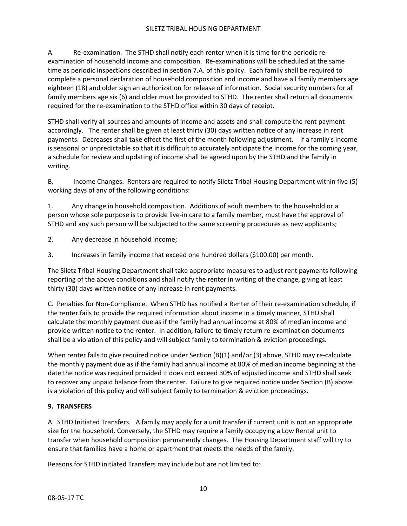A. Be-examination. The STHD shall notify each renter when it is time for the periodic reexamination of household income and composition. Re‐examinations will be scheduled at the same time as periodic inspections described in section 7.A. of this policy. Each family shall be required to complete a personal declaration of household composition and income and have all family members age eighteen (18) and older sign an authorization for release of information. Social security numbers for all family members age six (6) and older must be provided to STHD. The renter shall return all documents required for the re‐examination to the STHD office within 30 days of receipt.

STHD shall verify all sources and amounts of income and assets and shall compute the rent payment accordingly. The renter shall be given at least thirty (30) days written notice of any increase in rent payments. Decreases shall take effect the first of the month following adjustment. If a family's income is seasonal or unpredictable so that it is difficult to accurately anticipate the income for the coming year, a schedule for review and updating of income shall be agreed upon by the STHD and the family in writing.

B. Income Changes. Renters are required to notify Siletz Tribal Housing Department within five (5) working days of any of the following conditions:

1. Any change in household composition. Additions of adult members to the household or a person whose sole purpose is to provide live-in care to a family member, must have the approval of STHD and any such person will be subjected to the same screening procedures as new applicants;

- 2. Any decrease in household income;
- 3. Increases in family income that exceed one hundred dollars (\$100.00) per month.

The Siletz Tribal Housing Department shall take appropriate measures to adjust rent payments following reporting of the above conditions and shall notify the renter in writing of the change, giving at least thirty (30) days written notice of any increase in rent payments.

C. Penalties for Non‐Compliance. When STHD has notified a Renter of their re‐examination schedule, if the renter fails to provide the required information about income in a timely manner, STHD shall calculate the monthly payment due as if the family had annual income at 80% of median income and provide written notice to the renter. In addition, failure to timely return re‐examination documents shall be a violation of this policy and will subject family to termination & eviction proceedings.

When renter fails to give required notice under Section (B)(1) and/or (3) above, STHD may re-calculate the monthly payment due as if the family had annual income at 80% of median income beginning at the date the notice was required provided it does not exceed 30% of adjusted income and STHD shall seek to recover any unpaid balance from the renter. Failure to give required notice under Section (B) above is a violation of this policy and will subject family to termination & eviction proceedings.

#### **9. TRANSFERS**

A. STHD Initiated Transfers. A family may apply for a unit transfer if current unit is not an appropriate size for the household. Conversely, the STHD may require a family occupying a Low Rental unit to transfer when household composition permanently changes. The Housing Department staff will try to ensure that families have a home or apartment that meets the needs of the family.

Reasons for STHD initiated Transfers may include but are not limited to: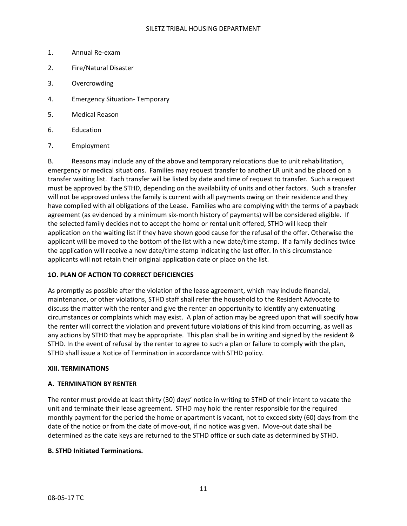- 1. Annual Re‐exam
- 2. Fire/Natural Disaster
- 3. Overcrowding
- 4. Emergency Situation‐ Temporary
- 5. Medical Reason
- 6. Education
- 7. Employment

B. Reasons may include any of the above and temporary relocations due to unit rehabilitation, emergency or medical situations. Families may request transfer to another LR unit and be placed on a transfer waiting list. Each transfer will be listed by date and time of request to transfer. Such a request must be approved by the STHD, depending on the availability of units and other factors. Such a transfer will not be approved unless the family is current with all payments owing on their residence and they have complied with all obligations of the Lease. Families who are complying with the terms of a payback agreement (as evidenced by a minimum six-month history of payments) will be considered eligible. If the selected family decides not to accept the home or rental unit offered, STHD will keep their application on the waiting list if they have shown good cause for the refusal of the offer. Otherwise the applicant will be moved to the bottom of the list with a new date/time stamp. If a family declines twice the application will receive a new date/time stamp indicating the last offer. In this circumstance applicants will not retain their original application date or place on the list.

#### **1O. PLAN OF ACTION TO CORRECT DEFICIENCIES**

As promptly as possible after the violation of the lease agreement, which may include financial, maintenance, or other violations, STHD staff shall refer the household to the Resident Advocate to discuss the matter with the renter and give the renter an opportunity to identify any extenuating circumstances or complaints which may exist. A plan of action may be agreed upon that will specify how the renter will correct the violation and prevent future violations of this kind from occurring, as well as any actions by STHD that may be appropriate. This plan shall be in writing and signed by the resident & STHD. In the event of refusal by the renter to agree to such a plan or failure to comply with the plan, STHD shall issue a Notice of Termination in accordance with STHD policy.

#### **XIII. TERMINATIONS**

# **A. TERMINATION BY RENTER**

The renter must provide at least thirty (30) days' notice in writing to STHD of their intent to vacate the unit and terminate their lease agreement. STHD may hold the renter responsible for the required monthly payment for the period the home or apartment is vacant, not to exceed sixty (60) days from the date of the notice or from the date of move‐out, if no notice was given. Move‐out date shall be determined as the date keys are returned to the STHD office or such date as determined by STHD.

# **B. STHD Initiated Terminations.**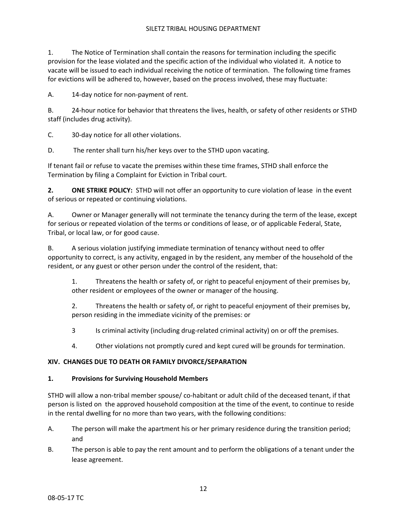1. The Notice of Termination shall contain the reasons for termination including the specific provision for the lease violated and the specific action of the individual who violated it. A notice to vacate will be issued to each individual receiving the notice of termination. The following time frames for evictions will be adhered to, however, based on the process involved, these may fluctuate:

A. 14‐day notice for non‐payment of rent.

B. 24‐hour notice for behavior that threatens the lives, health, or safety of other residents or STHD staff (includes drug activity).

C. 30‐day notice for all other violations.

D. The renter shall turn his/her keys over to the STHD upon vacating.

If tenant fail or refuse to vacate the premises within these time frames, STHD shall enforce the Termination by filing a Complaint for Eviction in Tribal court.

**2. ONE STRIKE POLICY:**  STHD will not offer an opportunity to cure violation of lease in the event of serious or repeated or continuing violations.

A. Owner or Manager generally will not terminate the tenancy during the term of the lease, except for serious or repeated violation of the terms or conditions of lease, or of applicable Federal, State, Tribal, or local law, or for good cause.

B. A serious violation justifying immediate termination of tenancy without need to offer opportunity to correct, is any activity, engaged in by the resident, any member of the household of the resident, or any guest or other person under the control of the resident, that:

1. Threatens the health or safety of, or right to peaceful enjoyment of their premises by, other resident or employees of the owner or manager of the housing.

2. Threatens the health or safety of, or right to peaceful enjoyment of their premises by, person residing in the immediate vicinity of the premises: or

3 Is criminal activity (including drug-related criminal activity) on or off the premises.

4. Other violations not promptly cured and kept cured will be grounds for termination.

# **XIV. CHANGES DUE TO DEATH OR FAMILY DIVORCE/SEPARATION**

# **1. Provisions for Surviving Household Members**

STHD will allow a non‐tribal member spouse/ co‐habitant or adult child of the deceased tenant, if that person is listed on the approved household composition at the time of the event, to continue to reside in the rental dwelling for no more than two years, with the following conditions:

- A. The person will make the apartment his or her primary residence during the transition period; and
- B. The person is able to pay the rent amount and to perform the obligations of a tenant under the lease agreement.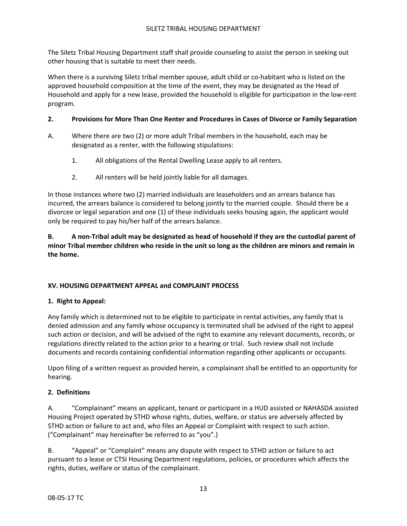The Siletz Tribal Housing Department staff shall provide counseling to assist the person in seeking out other housing that is suitable to meet their needs.

When there is a surviving Siletz tribal member spouse, adult child or co-habitant who is listed on the approved household composition at the time of the event, they may be designated as the Head of Household and apply for a new lease, provided the household is eligible for participation in the low‐rent program.

# **2. Provisions for More Than One Renter and Procedures in Cases of Divorce or Family Separation**

- A. Where there are two (2) or more adult Tribal members in the household, each may be designated as a renter, with the following stipulations:
	- 1. All obligations of the Rental Dwelling Lease apply to all renters.
	- 2. All renters will be held jointly liable for all damages.

In those instances where two (2) married individuals are leaseholders and an arrears balance has incurred, the arrears balance is considered to belong jointly to the married couple. Should there be a divorcee or legal separation and one (1) of these individuals seeks housing again, the applicant would only be required to pay his/her half of the arrears balance.

# **B. A non‐Tribal adult may be designated as head of household if they are the custodial parent of minor Tribal member children who reside in the unit so long as the children are minors and remain in the home.**

# **XV. HOUSING DEPARTMENT APPEAL and COMPLAINT PROCESS**

# **1. Right to Appeal:**

Any family which is determined not to be eligible to participate in rental activities, any family that is denied admission and any family whose occupancy is terminated shall be advised of the right to appeal such action or decision, and will be advised of the right to examine any relevant documents, records, or regulations directly related to the action prior to a hearing or trial. Such review shall not include documents and records containing confidential information regarding other applicants or occupants.

Upon filing of a written request as provided herein, a complainant shall be entitled to an opportunity for hearing.

# **2. Definitions**

A. "Complainant" means an applicant, tenant or participant in a HUD assisted or NAHASDA assisted Housing Project operated by STHD whose rights, duties, welfare, or status are adversely affected by STHD action or failure to act and, who files an Appeal or Complaint with respect to such action. ("Complainant" may hereinafter be referred to as "you".)

B. "Appeal" or "Complaint" means any dispute with respect to STHD action or failure to act pursuant to a lease or CTSI Housing Department regulations, policies, or procedures which affects the rights, duties, welfare or status of the complainant.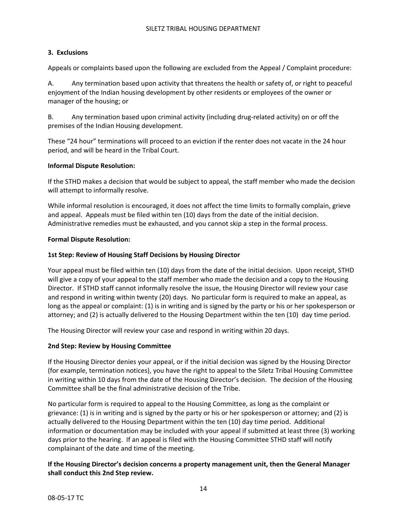## **3. Exclusions**

Appeals or complaints based upon the following are excluded from the Appeal / Complaint procedure:

A. Any termination based upon activity that threatens the health or safety of, or right to peaceful enjoyment of the Indian housing development by other residents or employees of the owner or manager of the housing; or

B. Any termination based upon criminal activity (including drug‐related activity) on or off the premises of the Indian Housing development.

These "24 hour" terminations will proceed to an eviction if the renter does not vacate in the 24 hour period, and will be heard in the Tribal Court.

## **Informal Dispute Resolution:**

If the STHD makes a decision that would be subject to appeal, the staff member who made the decision will attempt to informally resolve.

While informal resolution is encouraged, it does not affect the time limits to formally complain, grieve and appeal. Appeals must be filed within ten (10) days from the date of the initial decision. Administrative remedies must be exhausted, and you cannot skip a step in the formal process.

#### **Formal Dispute Resolution:**

## **1st Step: Review of Housing Staff Decisions by Housing Director**

Your appeal must be filed within ten (10) days from the date of the initial decision. Upon receipt, STHD will give a copy of your appeal to the staff member who made the decision and a copy to the Housing Director. If STHD staff cannot informally resolve the issue, the Housing Director will review your case and respond in writing within twenty (20) days. No particular form is required to make an appeal, as long as the appeal or complaint: (1) is in writing and is signed by the party or his or her spokesperson or attorney; and (2) is actually delivered to the Housing Department within the ten (10) day time period.

The Housing Director will review your case and respond in writing within 20 days.

#### **2nd Step: Review by Housing Committee**

If the Housing Director denies your appeal, or if the initial decision was signed by the Housing Director (for example, termination notices), you have the right to appeal to the Siletz Tribal Housing Committee in writing within 10 days from the date of the Housing Director's decision. The decision of the Housing Committee shall be the final administrative decision of the Tribe.

No particular form is required to appeal to the Housing Committee, as long as the complaint or grievance: (1) is in writing and is signed by the party or his or her spokesperson or attorney; and (2) is actually delivered to the Housing Department within the ten (10) day time period. Additional information or documentation may be included with your appeal if submitted at least three (3) working days prior to the hearing. If an appeal is filed with the Housing Committee STHD staff will notify complainant of the date and time of the meeting.

## **If the Housing Director's decision concerns a property management unit, then the General Manager shall conduct this 2nd Step review.**